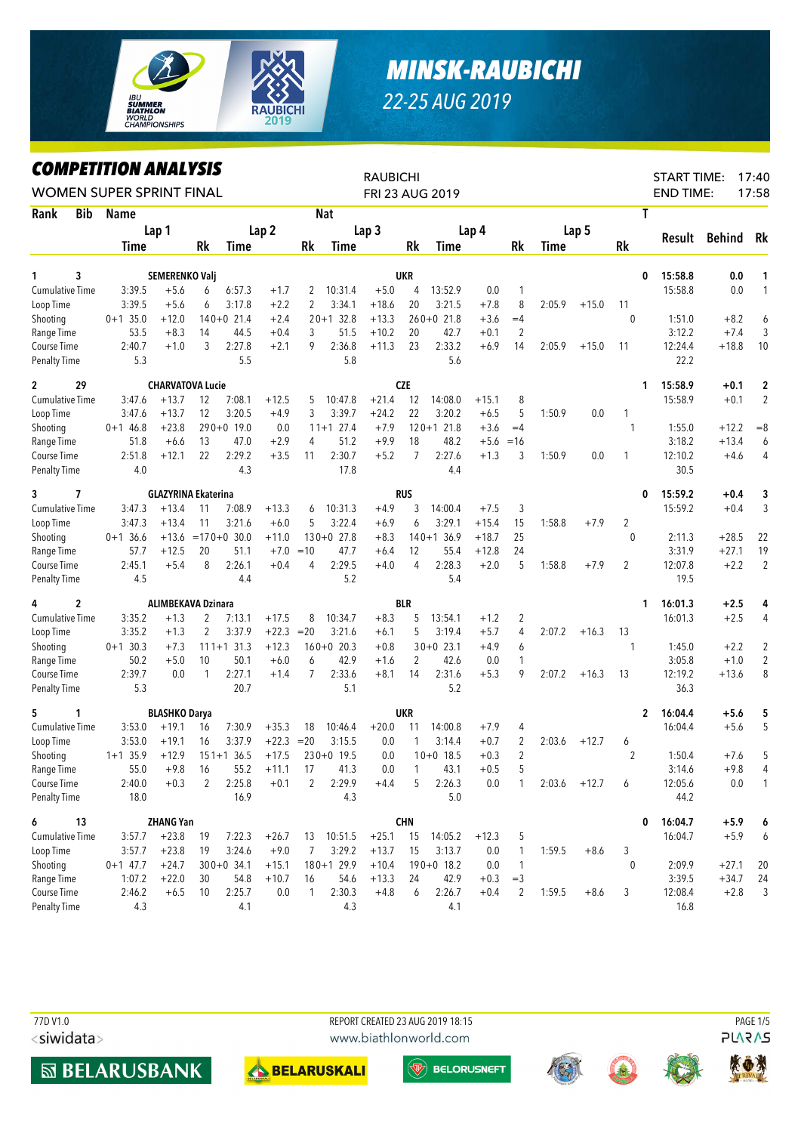

## **MINSK-RAUBICHI** 22-25 AUG 2019

## **COMPETITION ANALYSIS**

| LUMPEIIIIUN ANALYƏIƏ<br><b>WOMEN SUPER SPRINT FINAL</b> |            |                                 | <b>RAUBICHI</b> |                  | FRI 23 AUG 2019  |                |               |                  |                | <b>START TIME:</b><br><b>END TIME:</b> |         | 17:40<br>17:58 |             |         |                |              |               |                |
|---------------------------------------------------------|------------|---------------------------------|-----------------|------------------|------------------|----------------|---------------|------------------|----------------|----------------------------------------|---------|----------------|-------------|---------|----------------|--------------|---------------|----------------|
| Rank<br><b>Bib</b>                                      | Name       |                                 |                 |                  |                  |                | <b>Nat</b>    |                  |                |                                        |         |                |             |         |                | T            |               |                |
|                                                         |            | Lap 1                           |                 |                  | Lap <sub>2</sub> |                |               | Lap <sub>3</sub> |                |                                        |         |                |             | Lap 5   |                |              |               |                |
|                                                         | Time       |                                 | Rk              | Time             |                  | Rk             | Time          |                  | Rk             | Time                                   | Lap 4   | Rk             | <b>Time</b> |         | Rk             | Result       | <b>Behind</b> | Rk             |
|                                                         |            |                                 |                 |                  |                  |                |               |                  |                |                                        |         |                |             |         |                |              |               |                |
| 3<br>1                                                  |            | SEMERENKO Valj                  |                 |                  |                  |                |               |                  | UKR            |                                        |         |                |             |         |                | 15:58.8<br>0 | 0.0           | 1              |
| <b>Cumulative Time</b>                                  | 3:39.5     | $+5.6$                          | 6               | 6:57.3           | $+1.7$           | 2              | 10:31.4       | $+5.0$           | 4              | 13:52.9                                | 0.0     | 1              |             |         |                | 15:58.8      | 0.0           | $\mathbf{1}$   |
| Loop Time                                               | 3:39.5     | $+5.6$                          | 6               | 3:17.8           | $+2.2$           | 2              | 3:34.1        | $+18.6$          | 20             | 3:21.5                                 | $+7.8$  | 8              | 2:05.9      | $+15.0$ | 11             |              |               |                |
| Shooting                                                | $0+1$ 35.0 | $+12.0$                         |                 | $140+0$ 21.4     | $+2.4$           |                | $20+1$ 32.8   | $+13.3$          |                | $260+0$ 21.8                           | $+3.6$  | $=4$           |             |         | $\mathbf{0}$   | 1:51.0       | $+8.2$        | 6              |
| Range Time                                              | 53.5       | $+8.3$                          | 14              | 44.5             | $+0.4$           | 3              | 51.5          | $+10.2$          | 20             | 42.7                                   | $+0.1$  | 2              |             |         |                | 3:12.2       | $+7.4$        | 3              |
| Course Time                                             | 2:40.7     | $+1.0$                          | 3               | 2:27.8           | $+2.1$           | 9              | 2:36.8        | $+11.3$          | 23             | 2:33.2                                 | $+6.9$  | 14             | 2:05.9      | $+15.0$ | 11             | 12:24.4      | $+18.8$       | 10             |
| <b>Penalty Time</b>                                     | 5.3        |                                 |                 | 5.5              |                  |                | 5.8           |                  |                | 5.6                                    |         |                |             |         |                | 22.2         |               |                |
| $\overline{2}$<br>29                                    |            | <b>CHARVATOVA Lucie</b>         |                 |                  |                  |                |               |                  | <b>CZE</b>     |                                        |         |                |             |         |                | 15:58.9<br>1 | $+0.1$        | 2              |
| <b>Cumulative Time</b>                                  | 3:47.6     | $+13.7$                         | 12              | 7:08.1           | $+12.5$          | 5              | 10:47.8       | $+21.4$          | 12             | 14:08.0                                | $+15.1$ | 8              |             |         |                | 15:58.9      | $+0.1$        | $\overline{2}$ |
| Loop Time                                               | 3:47.6     | $+13.7$                         | 12              | 3:20.5           | $+4.9$           | 3              | 3:39.7        | $+24.2$          | 22             | 3:20.2                                 | $+6.5$  | 5              | 1:50.9      | 0.0     | 1              |              |               |                |
| Shooting                                                | $0+1$ 46.8 | $+23.8$                         |                 | $290+0$ 19.0     | 0.0              |                | $11+1$ 27.4   | $+7.9$           |                | $120+1$ 21.8                           | $+3.6$  | $=4$           |             |         | 1              | 1:55.0       | $+12.2$       | $= 8$          |
| Range Time                                              | 51.8       | $+6.6$                          | 13              | 47.0             | $+2.9$           | 4              | 51.2          | $+9.9$           | 18             | 48.2                                   |         | $+5.6 = 16$    |             |         |                | 3:18.2       | $+13.4$       | 6              |
| Course Time                                             | 2:51.8     | $+12.1$                         | 22              | 2:29.2           | $+3.5$           | 11             | 2:30.7        | $+5.2$           | $\overline{7}$ | 2:27.6                                 | $+1.3$  | 3              | 1:50.9      | 0.0     | 1              | 12:10.2      | $+4.6$        | 4              |
| <b>Penalty Time</b>                                     | 4.0        |                                 |                 | 4.3              |                  |                | 17.8          |                  |                | 4.4                                    |         |                |             |         |                | 30.5         |               |                |
| 3<br>7                                                  |            | <b>GLAZYRINA Ekaterina</b>      |                 |                  |                  |                |               |                  | <b>RUS</b>     |                                        |         |                |             |         |                | 15:59.2<br>0 | $+0.4$        | 3              |
| <b>Cumulative Time</b>                                  | 3:47.3     | $+13.4$                         | 11              | 7:08.9           | $+13.3$          | 6              | 10:31.3       | $+4.9$           | 3              | 14:00.4                                | $+7.5$  | 3              |             |         |                | 15:59.2      | $+0.4$        | 3              |
| Loop Time                                               | 3:47.3     | $+13.4$                         | 11              | 3:21.6           | $+6.0$           | 5              | 3:22.4        | $+6.9$           | 6              | 3:29.1                                 | $+15.4$ | 15             | 1:58.8      | $+7.9$  | 2              |              |               |                |
| Shooting                                                | $0+1$ 36.6 | $+13.6$                         |                 | $= 170 + 0.30.0$ | $+11.0$          |                | $130+0$ 27.8  | $+8.3$           |                | $140+136.9$                            | $+18.7$ | 25             |             |         | $\mathbf{0}$   | 2:11.3       | $+28.5$       | 22             |
| Range Time                                              | 57.7       | $+12.5$                         | 20              | 51.1             | $+7.0$           | $=10$          | 47.7          | $+6.4$           | 12             | 55.4                                   | $+12.8$ | 24             |             |         |                | 3:31.9       | $+27.1$       | 19             |
| Course Time                                             | 2:45.1     | $+5.4$                          | 8               | 2:26.1           | $+0.4$           | 4              | 2:29.5        | $+4.0$           | 4              | 2:28.3                                 | $+2.0$  | 5              | 1:58.8      | $+7.9$  | 2              | 12:07.8      | $+2.2$        | $\overline{2}$ |
| <b>Penalty Time</b>                                     | 4.5        |                                 |                 | 4.4              |                  |                | 5.2           |                  |                | 5.4                                    |         |                |             |         |                | 19.5         |               |                |
| 2<br>4                                                  |            | <b>ALIMBEKAVA Dzinara</b>       |                 |                  |                  |                |               |                  | BLR            |                                        |         |                |             |         |                | 16:01.3<br>1 | $+2.5$        | 4              |
| <b>Cumulative Time</b>                                  | 3:35.2     | $+1.3$                          | 2               | 7:13.1           | $+17.5$          | 8              | 10:34.7       | $+8.3$           | 5              | 13:54.1                                | $+1.2$  | 2              |             |         |                | 16:01.3      | $+2.5$        | $\overline{4}$ |
| Loop Time                                               | 3:35.2     | $+1.3$                          | $\overline{2}$  | 3:37.9           | $+22.3$          | $=20$          | 3:21.6        | $+6.1$           | 5              | 3:19.4                                 | $+5.7$  | 4              | 2:07.2      | $+16.3$ | 13             |              |               |                |
| Shooting                                                | $0+1$ 30.3 | $+7.3$                          |                 | $111+1$ 31.3     | $+12.3$          |                | $160+0$ 20.3  | $+0.8$           |                | $30+0$ 23.1                            | $+4.9$  | 6              |             |         | 1              | 1:45.0       | $+2.2$        | 2              |
| Range Time                                              | 50.2       | $+5.0$                          | 10              | 50.1             | $+6.0$           | 6              | 42.9          | $+1.6$           | 2              | 42.6                                   | 0.0     | 1              |             |         |                | 3:05.8       | $+1.0$        | $\overline{2}$ |
| Course Time                                             | 2:39.7     | 0.0                             | $\mathbf{1}$    | 2:27.1           | $+1.4$           | $\overline{7}$ | 2:33.6        | $+8.1$           | 14             | 2:31.6                                 | $+5.3$  | 9              | 2:07.2      | $+16.3$ | 13             | 12:19.2      | $+13.6$       | 8              |
| <b>Penalty Time</b>                                     | 5.3        |                                 |                 | 20.7             |                  |                | 5.1           |                  |                | 5.2                                    |         |                |             |         |                | 36.3         |               |                |
|                                                         |            |                                 |                 |                  |                  |                |               |                  |                |                                        |         |                |             |         |                |              |               |                |
| 5<br>1                                                  |            | <b>BLASHKO Darya</b><br>$+19.1$ |                 |                  |                  |                |               |                  | UKR            |                                        |         |                |             |         |                | 16:04.4<br>2 | $+5.6$        | 5              |
| Cumulative Time                                         | 3:53.0     |                                 | 16              | 7:30.9           | $+35.3$          | 18             | 10:46.4       | $+20.0$          | 11             | 14:00.8                                | $+7.9$  | 4              |             |         |                | 16:04.4      | $+5.6$        | 5              |
| Loop Time                                               | 3:53.0     | $+19.1$                         | 16              | 3:37.9           | $+22.3$          | $=20$          | 3:15.5        | 0.0              | 1              | 3:14.4                                 | $+0.7$  | 2              | 2:03.6      | $+12.7$ | 6              |              |               |                |
| Shooting                                                | $1+1$ 35.9 | $+12.9$                         |                 | $151+136.5$      | $+17.5$          |                | $230+0$ 19.5  | 0.0              |                | $10+0$ 18.5                            | $+0.3$  | 2              |             |         | $\overline{2}$ | 1:50.4       | $+7.6$        | 5              |
| Range Time                                              | 55.0       | $+9.8$                          | 16              | 55.2             | $+11.1$          | -17            | 41.3          | 0.0              | -1             | 43.1                                   | $+0.5$  | 5              |             |         |                | 3:14.6       | $+9.8$        | 4              |
| Course Time                                             | 2:40.0     | $+0.3$                          | $\overline{2}$  | 2:25.8           | $+0.1$           | $\overline{2}$ | 2:29.9        | $+4.4$           | 5              | 2:26.3                                 | $0.0\,$ | 1              | 2:03.6      | $+12.7$ | 6              | 12:05.6      | $0.0\,$       | $\mathbf{1}$   |
| <b>Penalty Time</b>                                     | 18.0       |                                 |                 | 16.9             |                  |                | 4.3           |                  |                | 5.0                                    |         |                |             |         |                | 44.2         |               |                |
| 6<br>13                                                 |            | <b>ZHANG Yan</b>                |                 |                  |                  |                |               |                  | <b>CHN</b>     |                                        |         |                |             |         |                | 16:04.7<br>0 | $+5.9$        | 6              |
| Cumulative Time                                         | 3:57.7     | $+23.8$                         | 19              | 7:22.3           | $+26.7$          |                | 13 10:51.5    | $+25.1$          | 15             | 14:05.2                                | $+12.3$ | 5              |             |         |                | 16:04.7      | $+5.9$        | 6              |
| Loop Time                                               | 3:57.7     | $+23.8$                         | 19              | 3:24.6           | $+9.0$           | $\overline{7}$ | 3:29.2        | $+13.7$          | 15             | 3:13.7                                 | 0.0     | 1              | 1:59.5      | $+8.6$  | 3              |              |               |                |
| Shooting                                                | $0+1$ 47.7 | $+24.7$                         |                 | $300+0$ 34.1     | $+15.1$          |                | $180 + 129.9$ | $+10.4$          |                | $190+0$ 18.2                           | 0.0     | 1              |             |         | $\mathbf{0}$   | 2:09.9       | $+27.1$       | 20             |
| Range Time                                              | 1:07.2     | $+22.0$                         | 30              | 54.8             | $+10.7$          | 16             | 54.6          | $+13.3$          | 24             | 42.9                                   | $+0.3$  | $=$ 3          |             |         |                | 3:39.5       | $+34.7$       | 24             |
| Course Time                                             | 2:46.2     | $+6.5$                          | 10              | 2:25.7           | 0.0              | $\mathbf{1}$   | 2:30.3        | $+4.8$           | 6              | 2:26.7                                 | $+0.4$  | 2              | 1:59.5      | $+8.6$  | 3              | 12:08.4      | $+2.8$        | 3              |
| Penalty Time                                            | 4.3        |                                 |                 | 4.1              |                  |                | 4.3           |                  |                | 4.1                                    |         |                |             |         |                | 16.8         |               |                |

77D V1.0 <siwidata> REPORT CREATED 23 AUG 2019 18:15 www.biathlonworld.com





**W** BELORUSNEFT







**PAGE 1/5**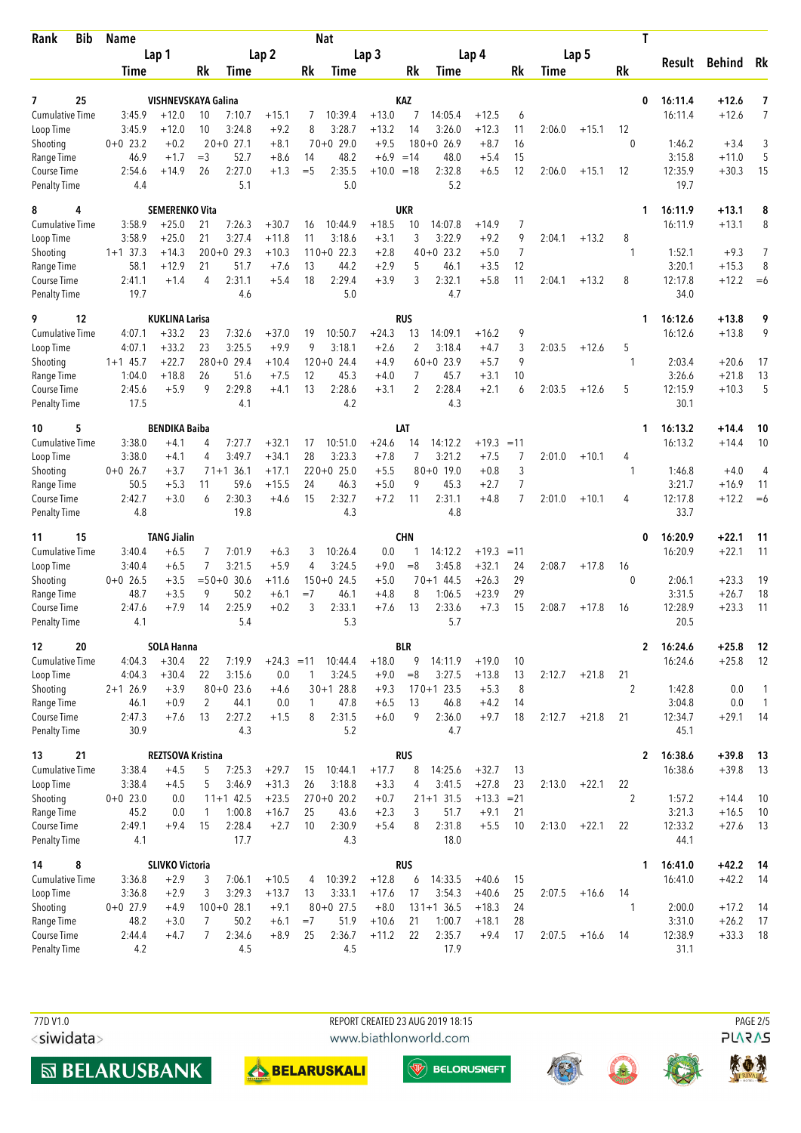| Bib<br>Rank                        | <b>Name</b><br>Lap 1 |                                  | <b>Nat</b>       |                        |                    |              |                      |                  |                  |                        |                    | Τ              |        |         |              |                    |                    |              |
|------------------------------------|----------------------|----------------------------------|------------------|------------------------|--------------------|--------------|----------------------|------------------|------------------|------------------------|--------------------|----------------|--------|---------|--------------|--------------------|--------------------|--------------|
|                                    |                      |                                  | Lap <sub>2</sub> |                        |                    |              | Lap <sub>3</sub>     |                  |                  | Lap 4                  |                    |                |        | Lap 5   |              | Result             | <b>Behind</b>      | Rk           |
|                                    | Time                 |                                  | Rk               | Time                   |                    | Rk           | Time                 |                  | Rk               | Time                   |                    | Rk             | Time   |         | Rk           |                    |                    |              |
| 25<br>7                            |                      | VISHNEVSKAYA Galina              |                  |                        |                    |              |                      |                  | <b>KAZ</b>       |                        |                    |                |        |         | 0            | 16:11.4            | $+12.6$            | 7            |
| <b>Cumulative Time</b>             | 3:45.9               | $+12.0$                          | 10               | 7:10.7                 | $+15.1$            | 7            | 10:39.4              | $+13.0$          | 7                | 14:05.4                | $+12.5$            | 6              |        |         |              | 16:11.4            | $+12.6$            | 7            |
| Loop Time                          | 3:45.9               | $+12.0$                          | 10               | 3:24.8                 | $+9.2$             | 8            | 3:28.7               | $+13.2$          | 14               | 3:26.0                 | $+12.3$            | 11             | 2:06.0 | $+15.1$ | 12           |                    |                    |              |
| Shooting                           | $0+0$ 23.2           | $+0.2$                           |                  | $20+0$ 27.1            | $+8.1$             |              | $70+0$ 29.0          | $+9.5$           |                  | $180+0$ 26.9           | $+8.7$             | 16             |        |         | 0            | 1:46.2             | $+3.4$             | 3            |
| Range Time                         | 46.9                 | $+1.7$                           | $=$ 3            | 52.7                   | $+8.6$             | 14           | 48.2                 | $+6.9$           | $=14$            | 48.0                   | $+5.4$             | 15             |        |         |              | 3:15.8             | $+11.0$            | 5            |
| Course Time                        | 2:54.6               | $+14.9$                          | 26               | 2:27.0                 | $+1.3$             | $=$ 5        | 2:35.5               | $+10.0 = 18$     |                  | 2:32.8                 | $+6.5$             | 12             | 2:06.0 | $+15.1$ | 12           | 12:35.9            | $+30.3$            | 15           |
| <b>Penalty Time</b>                | 4.4                  |                                  |                  | 5.1                    |                    |              | 5.0                  |                  |                  | 5.2                    |                    |                |        |         |              | 19.7               |                    |              |
| 8<br>4                             |                      | <b>SEMERENKO Vita</b>            |                  |                        |                    |              |                      |                  | <b>UKR</b>       |                        |                    |                |        |         | 1            | 16:11.9            | $+13.1$            | 8            |
| <b>Cumulative Time</b>             | 3:58.9               | $+25.0$                          | 21               | 7:26.3                 | $+30.7$            | 16           | 10:44.9              | $+18.5$          | 10               | 14:07.8                | $+14.9$            | 7              |        |         |              | 16:11.9            | $+13.1$            | 8            |
| Loop Time                          | 3:58.9               | $+25.0$                          | 21               | 3:27.4                 | $+11.8$            | 11           | 3:18.6               | $+3.1$           | 3                | 3:22.9                 | $+9.2$             | 9              | 2:04.1 | $+13.2$ | 8            |                    |                    |              |
| Shooting                           | $1+1$ 37.3           | $+14.3$                          |                  | $200+0$ 29.3           | $+10.3$            |              | $110+0$ 22.3         | $+2.8$           |                  | $40+0$ 23.2            | $+5.0$             | $\overline{7}$ |        |         | -1           | 1:52.1             | $+9.3$             | 7            |
| Range Time                         | 58.1                 | $+12.9$                          | 21               | 51.7                   | $+7.6$             | 13           | 44.2                 | $+2.9$           | 5                | 46.1                   | $+3.5$             | 12             |        |         |              | 3:20.1             | $+15.3$            | 8            |
| Course Time                        | 2:41.1               | $+1.4$                           | 4                | 2:31.1                 | $+5.4$             | 18           | 2:29.4               | $+3.9$           | 3                | 2:32.1                 | $+5.8$             | 11             | 2:04.1 | $+13.2$ | 8            | 12:17.8            | $+12.2$            | $=6$         |
| <b>Penalty Time</b>                | 19.7                 |                                  |                  | 4.6                    |                    |              | 5.0                  |                  |                  | 4.7                    |                    |                |        |         |              | 34.0               |                    |              |
| 12<br>9<br><b>Cumulative Time</b>  | 4:07.1               | <b>KUKLINA Larisa</b><br>$+33.2$ | 23               | 7:32.6                 | $+37.0$            | 19           | 10:50.7              | $+24.3$          | <b>RUS</b><br>13 | 14:09.1                | $+16.2$            | 9              |        |         | 1            | 16:12.6<br>16:12.6 | $+13.8$<br>$+13.8$ | 9<br>9       |
| Loop Time                          | 4:07.1               | $+33.2$                          | 23               | 3:25.5                 | $+9.9$             | 9            | 3:18.1               | $+2.6$           | 2                | 3:18.4                 | $+4.7$             | 3              | 2:03.5 | $+12.6$ | 5            |                    |                    |              |
| Shooting                           | $1+1$ 45.7           | $+22.7$                          |                  | $280+0$ 29.4           | $+10.4$            |              | $120+0$ 24.4         | $+4.9$           |                  | $60+0$ 23.9            | $+5.7$             | 9              |        |         | 1            | 2:03.4             | $+20.6$            | 17           |
| Range Time                         | 1:04.0               | $+18.8$                          | 26               | 51.6                   | $+7.5$             | 12           | 45.3                 | $+4.0$           | 7                | 45.7                   | $+3.1$             | 10             |        |         |              | 3:26.6             | $+21.8$            | 13           |
| Course Time                        | 2:45.6               | $+5.9$                           | 9                | 2:29.8                 | $+4.1$             | 13           | 2:28.6               | $+3.1$           | $\overline{2}$   | 2:28.4                 | $+2.1$             | 6              | 2:03.5 | $+12.6$ | 5            | 12:15.9            | $+10.3$            | 5            |
| <b>Penalty Time</b>                | 17.5                 |                                  |                  | 4.1                    |                    |              | 4.2                  |                  |                  | 4.3                    |                    |                |        |         |              | 30.1               |                    |              |
| 10<br>5                            |                      | <b>BENDIKA Baiba</b>             |                  |                        |                    |              |                      |                  | LAT              |                        |                    |                |        |         | 1            | 16:13.2            | +14.4              | 10           |
| <b>Cumulative Time</b>             | 3:38.0               | $+4.1$                           | 4                | 7:27.7                 | $+32.1$            | 17           | 10:51.0              | $+24.6$          | 14               | 14:12.2                | $+19.3$            | $=11$          |        |         |              | 16:13.2            | $+14.4$            | 10           |
| Loop Time                          | 3:38.0               | $+4.1$                           | 4                | 3:49.7                 | $+34.1$            | 28           | 3:23.3               | $+7.8$           | 7                | 3:21.2                 | $+7.5$             | 7              | 2:01.0 | $+10.1$ | 4            |                    |                    |              |
| Shooting                           | $0+0$ 26.7           | $+3.7$                           |                  | $71+1$ 36.1            | $+17.1$            |              | $220+0$ 25.0         | $+5.5$           |                  | $80 + 0$ 19.0          | $+0.8$             | 3              |        |         | -1           | 1:46.8             | $+4.0$             | 4            |
| Range Time                         | 50.5                 | $+5.3$                           | 11               | 59.6                   | $+15.5$            | 24           | 46.3                 | $+5.0$           | 9                | 45.3                   | $+2.7$             | 7              |        |         |              | 3:21.7             | $+16.9$            | 11           |
| Course Time<br><b>Penalty Time</b> | 2:42.7<br>4.8        | $+3.0$                           | 6                | 2:30.3<br>19.8         | $+4.6$             | 15           | 2:32.7<br>4.3        | $+7.2$           | 11               | 2:31.1<br>4.8          | $+4.8$             | $\overline{7}$ | 2:01.0 | $+10.1$ | 4            | 12:17.8<br>33.7    | $+12.2$            | $=6$         |
|                                    |                      |                                  |                  |                        |                    |              |                      |                  |                  |                        |                    |                |        |         |              |                    |                    |              |
| 15<br>11                           |                      | <b>TANG Jialin</b>               |                  |                        |                    |              |                      |                  | <b>CHN</b>       |                        |                    |                |        |         | 0            | 16:20.9            | $+22.1$            | 11           |
| <b>Cumulative Time</b>             | 3:40.4               | $+6.5$                           | 7<br>7           | 7:01.9                 | $+6.3$             | 3<br>4       | 10:26.4<br>3:24.5    | 0.0              | 1<br>$=8$        | 14:12.2                | $+19.3$            | $=11$          |        |         |              | 16:20.9            | $+22.1$            | 11           |
| Loop Time                          | 3:40.4<br>$0+0$ 26.5 | $+6.5$<br>$+3.5$                 |                  | 3:21.5<br>$=50+0$ 30.6 | $+5.9$<br>$+11.6$  |              | $150+0$ 24.5         | $+9.0$<br>$+5.0$ |                  | 3:45.8<br>$70 + 144.5$ | $+32.1$<br>$+26.3$ | 24<br>29       | 2:08.7 | $+17.8$ | 16<br>0      | 2:06.1             | $+23.3$            | 19           |
| Shooting<br>Range Time             | 48.7                 | $+3.5$                           | 9                | 50.2                   | $+6.1$             | $=7$         | 46.1                 | $+4.8$           | 8                | 1:06.5                 | $+23.9$            | 29             |        |         |              | 3:31.5             | $+26.7$            | 18           |
| <b>Course Time</b>                 | 2:47.6               | $+7.9$                           | 14               | 2:25.9                 | $+0.2$             | 3            | 2:33.1               | $+7.6$           | 13               | 2:33.6                 | $+7.3$             | 15             | 2:08.7 | $+17.8$ | 16           | 12:28.9            | $+23.3$            | 11           |
| <b>Penalty Time</b>                | 4.1                  |                                  |                  | 5.4                    |                    |              | 5.3                  |                  |                  | 5.7                    |                    |                |        |         |              | 20.5               |                    |              |
| 12<br>20                           |                      | <b>SOLA Hanna</b>                |                  |                        |                    |              |                      |                  | BLR              |                        |                    |                |        |         | $\mathbf{2}$ | 16:24.6            | $+25.8$            | 12           |
| Cumulative Time                    | 4:04.3               | $+30.4$                          | 22               | 7:19.9                 | $+24.3 = 11$       |              | 10:44.4              | $+18.0$          | 9                | 14:11.9                | $+19.0$            | 10             |        |         |              | 16:24.6            | $+25.8$            | 12           |
| Loop Time                          | 4:04.3               | $+30.4$                          | 22               | 3:15.6                 | 0.0                | 1            | 3:24.5               | $+9.0$           | $=8$             | 3:27.5                 | $+13.8$            | 13             | 2:12.7 | $+21.8$ | 21           |                    |                    |              |
| Shooting                           | $2+1$ 26.9           | $+3.9$                           |                  | $80+0$ 23.6            | $+4.6$             |              | $30+1$ 28.8          | $+9.3$           |                  | $170+1$ 23.5           | $+5.3$             | 8              |        |         | 2            | 1:42.8             | 0.0                | $\mathbf{1}$ |
| Range Time                         | 46.1                 | $+0.9$                           | 2                | 44.1                   | 0.0                | $\mathbf{1}$ | 47.8                 | $+6.5$           | 13               | 46.8                   | $+4.2$             | 14             |        |         |              | 3:04.8             | $0.0\,$            | $\mathbf{1}$ |
| Course Time                        | 2:47.3               | $+7.6$                           | 13               | 2:27.2                 | $+1.5$             | 8            | 2:31.5               | $+6.0$           | 9                | 2:36.0                 | $+9.7$             | 18             | 2:12.7 | $+21.8$ | 21           | 12:34.7            | $+29.1$            | -14          |
| <b>Penalty Time</b>                | 30.9                 |                                  |                  | 4.3                    |                    |              | 5.2                  |                  |                  | 4.7                    |                    |                |        |         |              | 45.1               |                    |              |
| 21<br>13                           |                      | <b>REZTSOVA Kristina</b>         |                  |                        |                    |              |                      |                  | <b>RUS</b>       |                        |                    |                |        |         | $\mathbf{2}$ | 16:38.6            | $+39.8$            | -13          |
| Cumulative Time                    | 3:38.4               | $+4.5$                           | 5                | 7:25.3                 | $+29.7$            | 15           | 10:44.1              | $+17.7$          | 8                | 14:25.6                | $+32.7$            | 13             |        |         |              | 16:38.6            | $+39.8$            | 13           |
| Loop Time                          | 3:38.4               | $+4.5$                           | 5                | 3:46.9                 | $+31.3$            | 26           | 3:18.8               | $+3.3$           | 4                | 3:41.5                 | $+27.8$            | 23             | 2:13.0 | $+22.1$ | 22           |                    |                    |              |
| Shooting                           | $0+0$ 23.0<br>45.2   | 0.0                              |                  | $11+1$ 42.5<br>1:00.8  | $+23.5$<br>$+16.7$ | 25           | $270+0$ 20.2<br>43.6 | $+0.7$           | 3                | $21+1$ 31.5<br>51.7    | $+13.3$<br>$+9.1$  | $= 21$<br>21   |        |         | 2            | 1:57.2<br>3:21.3   | $+14.4$            | 10           |
| Range Time<br>Course Time          | 2:49.1               | 0.0<br>$+9.4$                    | 1<br>15          | 2:28.4                 | $+2.7$             | 10           | 2:30.9               | $+2.3$<br>$+5.4$ | 8                | 2:31.8                 | $+5.5$             | 10             | 2:13.0 | $+22.1$ | 22           | 12:33.2            | $+16.5$<br>$+27.6$ | 10<br>13     |
| <b>Penalty Time</b>                | 4.1                  |                                  |                  | 17.7                   |                    |              | 4.3                  |                  |                  | 18.0                   |                    |                |        |         |              | 44.1               |                    |              |
| 8<br>14                            |                      | <b>SLIVKO Victoria</b>           |                  |                        |                    |              |                      |                  | <b>RUS</b>       |                        |                    |                |        |         | 1            | 16:41.0            | $+42.2$            | - 14         |
| <b>Cumulative Time</b>             | 3:36.8               | $+2.9$                           | 3                | 7:06.1                 | $+10.5$            | 4            | 10:39.2              | $+12.8$          | 6                | 14:33.5                | $+40.6$            | 15             |        |         |              | 16:41.0            | $+42.2$            | -14          |
| Loop Time                          | 3:36.8               | $+2.9$                           | 3                | 3:29.3                 | $+13.7$            | 13           | 3:33.1               | $+17.6$          | 17               | 3:54.3                 | $+40.6$            | 25             | 2:07.5 | $+16.6$ | 14           |                    |                    |              |
| Shooting                           | $0+0$ 27.9           | $+4.9$                           |                  | $100+0$ 28.1           | $+9.1$             |              | $80+0$ 27.5          | $+8.0$           |                  | $131+1$ 36.5           | $+18.3$            | 24             |        |         | 1            | 2:00.0             | $+17.2$            | 14           |
| Range Time                         | 48.2                 | $+3.0$                           | 7                | 50.2                   | $+6.1$             | $=7$         | 51.9                 | $+10.6$          | 21               | 1:00.7                 | $+18.1$            | 28             |        |         |              | 3:31.0             | $+26.2$            | 17           |
| Course Time                        | 2:44.4               | $+4.7$                           | 7                | 2:34.6                 | $+8.9$             | 25           | 2:36.7               | $+11.2$          | 22               | 2:35.7                 | $+9.4$             | 17             | 2:07.5 | $+16.6$ | 14           | 12:38.9            | $+33.3$            | 18           |
| <b>Penalty Time</b>                | 4.2                  |                                  |                  | 4.5                    |                    |              | 4.5                  |                  |                  | 17.9                   |                    |                |        |         |              | 31.1               |                    |              |

77D V1.0 <siwidata>





**MBELARUSBANK** 



 $\overline{\textcircled{\tiny{\textsf{W}}}}$  BELORUSNEFT





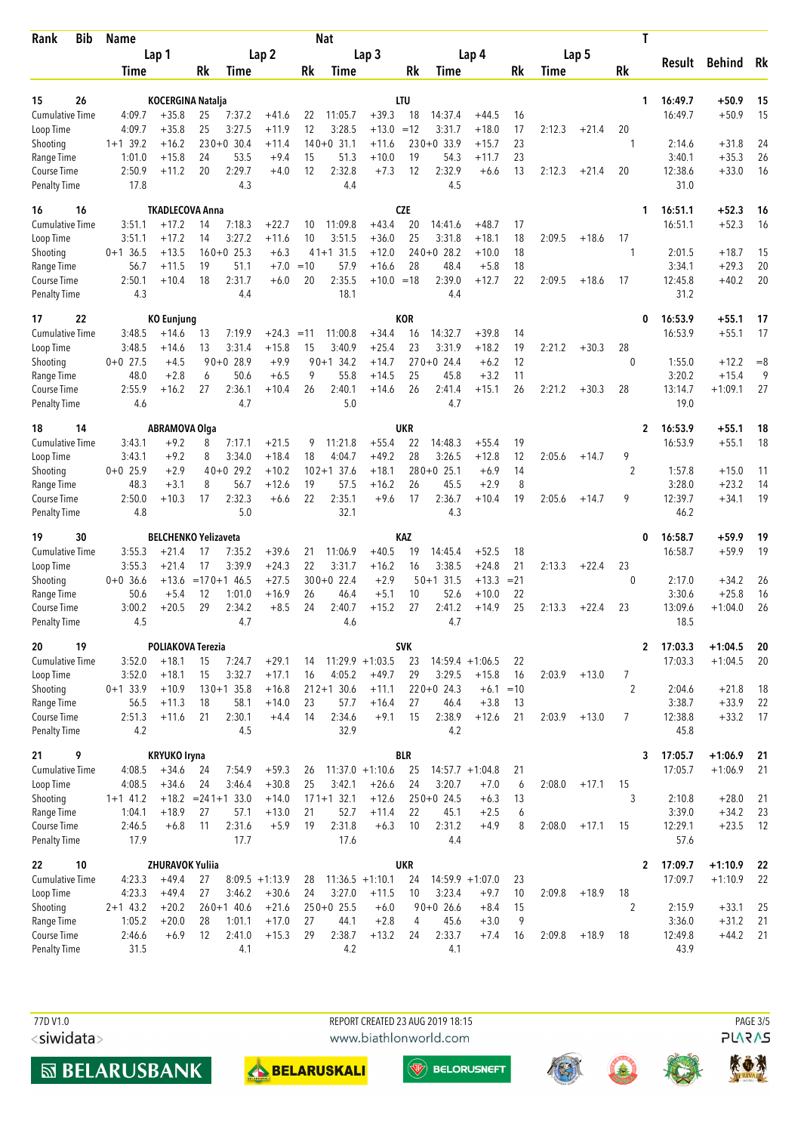| <b>Bib</b><br>Rank                        |  | <b>Name</b><br>Lap 1 |                             |                  |                        |                    |       | Nat                    |                    |            | Τ                      |                    |          |        |         |                    |              |                  |                    |            |
|-------------------------------------------|--|----------------------|-----------------------------|------------------|------------------------|--------------------|-------|------------------------|--------------------|------------|------------------------|--------------------|----------|--------|---------|--------------------|--------------|------------------|--------------------|------------|
|                                           |  |                      |                             | Lap <sub>2</sub> |                        |                    |       |                        | Lap <sub>3</sub>   |            | Lap 4                  | Lap 5              |          |        |         |                    |              | Behind Rk        |                    |            |
|                                           |  | Time                 |                             | Rk               | Time                   |                    | Rk    | Time                   |                    | Rk         | Time                   |                    | Rk       | Time   |         | Rk                 |              | Result           |                    |            |
|                                           |  |                      |                             |                  |                        |                    |       |                        |                    |            |                        |                    |          |        |         |                    |              |                  |                    |            |
| 26<br>15                                  |  |                      | <b>KOCERGINA Natalja</b>    |                  |                        |                    |       |                        |                    | LTU        |                        |                    |          |        |         |                    | 1            | 16:49.7          | +50.9              | 15         |
| <b>Cumulative Time</b>                    |  | 4:09.7               | $+35.8$                     | 25               | 7:37.2                 | $+41.6$            | 22    | 11:05.7                | $+39.3$            | 18         | 14:37.4                | $+44.5$            | 16       |        |         |                    |              | 16:49.7          | $+50.9$            | 15         |
| Loop Time                                 |  | 4:09.7<br>$1+1$ 39.2 | $+35.8$                     | 25               | 3:27.5<br>$230+0$ 30.4 | $+11.9$<br>$+11.4$ | 12    | 3:28.5<br>$140+0$ 31.1 | $+13.0$            | $=12$      | 3:31.7<br>$230+0$ 33.9 | $+18.0$<br>$+15.7$ | 17<br>23 | 2:12.3 | $+21.4$ | 20<br>1            |              |                  | $+31.8$            |            |
| Shooting<br>Range Time                    |  | 1:01.0               | $+16.2$<br>$+15.8$          | 24               | 53.5                   | $+9.4$             | 15    | 51.3                   | $+11.6$<br>$+10.0$ | 19         | 54.3                   | $+11.7$            | 23       |        |         |                    |              | 2:14.6<br>3:40.1 | $+35.3$            | 24<br>26   |
| Course Time                               |  | 2:50.9               | $+11.2$                     | 20               | 2:29.7                 | $+4.0$             | 12    | 2:32.8                 | $+7.3$             | 12         | 2:32.9                 | $+6.6$             | 13       | 2:12.3 | $+21.4$ | 20                 |              | 12:38.6          | $+33.0$            | 16         |
| <b>Penalty Time</b>                       |  | 17.8                 |                             |                  | 4.3                    |                    |       | 4.4                    |                    |            | 4.5                    |                    |          |        |         |                    |              | 31.0             |                    |            |
| 16<br>16                                  |  |                      | <b>TKADLECOVA Anna</b>      |                  |                        |                    |       |                        |                    | <b>CZE</b> |                        |                    |          |        |         |                    | 1            | 16:51.1          | $+52.3$            | 16         |
| Cumulative Time                           |  | 3:51.1               | $+17.2$                     | 14               | 7:18.3                 | $+22.7$            | 10    | 11:09.8                | $+43.4$            | 20         | 14:41.6                | $+48.7$            | 17       |        |         |                    |              | 16:51.1          | $+52.3$            | 16         |
| Loop Time                                 |  | 3:51.1               | $+17.2$                     | 14               | 3:27.2                 | $+11.6$            | 10    | 3:51.5                 | $+36.0$            | 25         | 3:31.8                 | $+18.1$            | 18       | 2:09.5 | $+18.6$ | 17                 |              |                  |                    |            |
| Shooting                                  |  | $0+1$ 36.5           | $+13.5$                     |                  | $160+0$ 25.3           | $+6.3$             |       | $41+1$ 31.5            | $+12.0$            |            | $240+0$ 28.2           | $+10.0$            | 18       |        |         | 1                  |              | 2:01.5           | $+18.7$            | 15         |
| Range Time                                |  | 56.7                 | $+11.5$                     | 19               | 51.1                   | $+7.0$             | $=10$ | 57.9                   | $+16.6$            | 28         | 48.4                   | $+5.8$             | 18       |        |         |                    |              | 3:34.1           | $+29.3$            | 20         |
| Course Time                               |  | 2:50.1               | $+10.4$                     | 18               | 2:31.7                 | $+6.0$             | 20    | 2:35.5                 | $+10.0 = 18$       |            | 2:39.0                 | $+12.7$            | 22       | 2:09.5 | $+18.6$ | 17                 |              | 12:45.8          | $+40.2$            | 20         |
| <b>Penalty Time</b>                       |  | 4.3                  |                             |                  | 4.4                    |                    |       | 18.1                   |                    |            | 4.4                    |                    |          |        |         |                    |              | 31.2             |                    |            |
| 17<br>22                                  |  |                      | <b>KO Eunjung</b>           |                  |                        |                    |       |                        |                    | <b>KOR</b> |                        |                    |          |        |         |                    | 0            | 16:53.9          | $+55.1$            | 17         |
| <b>Cumulative Time</b>                    |  | 3:48.5               | $+14.6$                     | 13               | 7:19.9                 | $+24.3$            | $=11$ | 11:00.8                | $+34.4$            | 16<br>23   | 14:32.7                | $+39.8$            | 14       |        |         |                    |              | 16:53.9          | $+55.1$            | 17         |
| Loop Time                                 |  | 3:48.5               | $+14.6$                     | 13               | 3:31.4<br>$90+0$ 28.9  | $+15.8$            | 15    | 3:40.9                 | $+25.4$            |            | 3:31.9<br>$270+0$ 24.4 | $+18.2$            | 19       | 2:21.2 | $+30.3$ | 28<br>$\mathbf{0}$ |              |                  |                    |            |
| Shooting<br>Range Time                    |  | $0+0$ 27.5<br>48.0   | $+4.5$<br>$+2.8$            | 6                | 50.6                   | $+9.9$<br>$+6.5$   | 9     | $90+1$ 34.2<br>55.8    | $+14.7$<br>$+14.5$ | 25         | 45.8                   | $+6.2$<br>$+3.2$   | 12<br>11 |        |         |                    |              | 1:55.0<br>3:20.2 | $+12.2$<br>$+15.4$ | $= 8$<br>9 |
| Course Time                               |  | 2:55.9               | $+16.2$                     | 27               | 2:36.1                 | $+10.4$            | 26    | 2:40.1                 | $+14.6$            | 26         | 2:41.4                 | $+15.1$            | 26       | 2:21.2 | $+30.3$ | 28                 |              | 13:14.7          | $+1:09.1$          | 27         |
| <b>Penalty Time</b>                       |  | 4.6                  |                             |                  | 4.7                    |                    |       | 5.0                    |                    |            | 4.7                    |                    |          |        |         |                    |              | 19.0             |                    |            |
| 18<br>14                                  |  |                      | <b>ABRAMOVA Olga</b>        |                  |                        |                    |       |                        |                    | <b>UKR</b> |                        |                    |          |        |         |                    | 2            | 16:53.9          | $+55.1$            | 18         |
| <b>Cumulative Time</b>                    |  | 3:43.1               | $+9.2$                      | 8                | 7:17.1                 | $+21.5$            | 9     | 11:21.8                | $+55.4$            | 22         | 14:48.3                | $+55.4$            | 19       |        |         |                    |              | 16:53.9          | $+55.1$            | 18         |
| Loop Time                                 |  | 3:43.1               | $+9.2$                      | 8                | 3:34.0                 | $+18.4$            | 18    | 4:04.7                 | $+49.2$            | 28         | 3:26.5                 | $+12.8$            | 12       | 2:05.6 | $+14.7$ | 9                  |              |                  |                    |            |
| Shooting                                  |  | $0+0$ 25.9           | $+2.9$                      |                  | $40+0$ 29.2            | $+10.2$            |       | $102+1$ 37.6           | $+18.1$            |            | $280+0$ 25.1           | $+6.9$             | 14       |        |         | 2                  |              | 1:57.8           | $+15.0$            | 11         |
| Range Time                                |  | 48.3                 | $+3.1$                      | 8                | 56.7                   | $+12.6$            | 19    | 57.5                   | $+16.2$            | 26         | 45.5                   | $+2.9$             | 8        |        |         |                    |              | 3:28.0           | $+23.2$            | 14         |
| <b>Course Time</b><br><b>Penalty Time</b> |  | 2:50.0<br>4.8        | $+10.3$                     | 17               | 2:32.3<br>5.0          | $+6.6$             | 22    | 2:35.1<br>32.1         | $+9.6$             | 17         | 2:36.7<br>4.3          | $+10.4$            | 19       | 2:05.6 | $+14.7$ | 9                  |              | 12:39.7<br>46.2  | $+34.1$            | 19         |
| 30<br>19                                  |  |                      | <b>BELCHENKO Yelizaveta</b> |                  |                        |                    |       |                        |                    | KAZ        |                        |                    |          |        |         |                    | 0            | 16:58.7          | $+59.9$            | 19         |
| <b>Cumulative Time</b>                    |  | 3:55.3               | $+21.4$                     | 17               | 7:35.2                 | $+39.6$            | 21    | 11:06.9                | $+40.5$            | 19         | 14:45.4                | $+52.5$            | 18       |        |         |                    |              | 16:58.7          | $+59.9$            | 19         |
| Loop Time                                 |  | 3:55.3               | $+21.4$                     | 17               | 3:39.9                 | $+24.3$            | 22    | 3:31.7                 | $+16.2$            | 16         | 3:38.5                 | $+24.8$            | 21       | 2:13.3 | $+22.4$ | 23                 |              |                  |                    |            |
| Shooting                                  |  | $0+0$ 36.6           | $+13.6$                     |                  | $= 170 + 146.5$        | $+27.5$            |       | $300+0$ 22.4           | $+2.9$             |            | $50 + 131.5$           | $+13.3$            | $= 21$   |        |         | $\theta$           |              | 2:17.0           | $+34.2$            | 26         |
| Range Time                                |  | 50.6                 | $+5.4$                      | 12               | 1:01.0                 | $+16.9$            | 26    | 46.4                   | $+5.1$             | 10         | 52.6                   | $+10.0$            | 22       |        |         |                    |              | 3:30.6           | $+25.8$            | 16         |
| Course Time                               |  | 3:00.2               | $+20.5$                     | 29               | 2:34.2                 | $+8.5$             | 24    | 2:40.7                 | $+15.2$            | 27         | 2:41.2                 | $+14.9$            | 25       | 2:13.3 | $+22.4$ | 23                 |              | 13:09.6          | $+1:04.0$          | 26         |
| <b>Penalty Time</b>                       |  | 4.5                  |                             |                  | 4.7                    |                    |       | 4.6                    |                    |            | 4.7                    |                    |          |        |         |                    |              | 18.5             |                    |            |
| 20<br>19                                  |  |                      | POLIAKOVA Terezia           |                  |                        |                    |       |                        |                    | <b>SVK</b> |                        |                    |          |        |         |                    | $\mathbf{2}$ | 17:03.3          | $+1:04.5$          | 20         |
| <b>Cumulative Time</b>                    |  | 3:52.0               | $+18.1$                     | 15               | 7:24.7                 | $+29.1$            | 14    |                        | $11:29.9 + 1:03.5$ | 23         | $14:59.4 + 1:06.5$     |                    | 22       |        |         |                    |              | 17:03.3          | $+1:04.5$          | 20         |
| Loop Time                                 |  | 3:52.0               | $+18.1$                     | 15               | 3:32.7                 | $+17.1$            | 16    | 4:05.2                 | $+49.7$            | 29         | 3:29.5                 | $+15.8$            | 16       | 2:03.9 | $+13.0$ | 7                  |              |                  |                    |            |
| Shooting                                  |  | $0+1$ 33.9           | $+10.9$                     |                  | $130+1$ 35.8           | $+16.8$            |       | $212+1$ 30.6           | $+11.1$            |            | $220+0$ 24.3           | $+6.1 = 10$        |          |        |         | 2                  |              | 2:04.6           | $+21.8$            | 18         |
| Range Time                                |  | 56.5                 | $+11.3$                     | 18               | 58.1                   | $+14.0$            | 23    | 57.7                   | $+16.4$            | 27         | 46.4                   | $+3.8$             | 13       |        |         |                    |              | 3:38.7           | $+33.9$            | 22         |
| Course Time<br><b>Penalty Time</b>        |  | 2:51.3<br>4.2        | $+11.6$                     | 21               | 2:30.1<br>4.5          | $+4.4$             | 14    | 2:34.6<br>32.9         | $+9.1$             | 15         | 2:38.9<br>4.2          | $+12.6$            | 21       | 2:03.9 | $+13.0$ | 7                  |              | 12:38.8<br>45.8  | $+33.2$            | 17         |
| 9<br>21                                   |  |                      | <b>KRYUKO Iryna</b>         |                  |                        |                    |       |                        |                    | <b>BLR</b> |                        |                    |          |        |         |                    | 3            | 17:05.7          | $+1:06.9$          | 21         |
| <b>Cumulative Time</b>                    |  | 4:08.5               | $+34.6$                     | 24               | 7:54.9                 | $+59.3$            | 26    |                        | $11:37.0 + 1:10.6$ | 25         | $14:57.7 + 1:04.8$     |                    | 21       |        |         |                    |              | 17:05.7          | $+1:06.9$          | 21         |
| Loop Time                                 |  | 4:08.5               | $+34.6$                     | 24               | 3:46.4                 | $+30.8$            | 25    | 3:42.1                 | $+26.6$            | 24         | 3:20.7                 | $+7.0$             | 6        | 2:08.0 | $+17.1$ | 15                 |              |                  |                    |            |
| Shooting                                  |  | $1+1$ 41.2           |                             |                  | $+18.2 = 241 + 133.0$  | $+14.0$            |       | $171+1$ 32.1           | $+12.6$            |            | $250+0$ 24.5           | $+6.3$             | 13       |        |         | 3                  |              | 2:10.8           | $+28.0$            | 21         |
| Range Time                                |  | 1:04.1               | $+18.9$                     | 27               | 57.1                   | $+13.0$            | 21    | 52.7                   | $+11.4$            | 22         | 45.1                   | $+2.5$             | 6        |        |         |                    |              | 3:39.0           | $+34.2$            | 23         |
| Course Time                               |  | 2:46.5               | $+6.8$                      | 11               | 2:31.6                 | $+5.9$             | 19    | 2:31.8                 | $+6.3$             | 10         | 2:31.2                 | $+4.9$             | 8        | 2:08.0 | $+17.1$ | 15                 |              | 12:29.1          | $+23.5$            | 12         |
| Penalty Time                              |  | 17.9                 |                             |                  | 17.7                   |                    |       | 17.6                   |                    |            | 4.4                    |                    |          |        |         |                    |              | 57.6             |                    |            |
| 10<br>22                                  |  |                      | ZHURAVOK Yuliia             |                  |                        |                    |       |                        |                    | <b>UKR</b> |                        |                    |          |        |         |                    | $\mathbf{2}$ | 17:09.7          | $+1:10.9$          | - 22       |
| <b>Cumulative Time</b>                    |  | 4:23.3               | $+49.4$                     | 27               |                        | $8:09.5 +1:13.9$   | 28    |                        | $11:36.5 +1:10.1$  | 24         | $14:59.9 + 1:07.0$     |                    | 23       |        |         |                    |              | 17:09.7          | $+1:10.9$          | 22         |
| Loop Time                                 |  | 4:23.3               | $+49.4$                     | 27               | 3:46.2                 | $+30.6$            | 24    | 3:27.0                 | $+11.5$            | 10         | 3:23.4                 | $+9.7$             | 10       | 2:09.8 | $+18.9$ | 18<br>2            |              |                  |                    |            |
| Shooting<br>Range Time                    |  | $2+1$ 43.2<br>1:05.2 | $+20.2$<br>$+20.0$          | 28               | $260+1$ 40.6<br>1:01.1 | $+21.6$<br>$+17.0$ | 27    | $250+0$ 25.5<br>44.1   | $+6.0$<br>$+2.8$   | 4          | $90+0$ 26.6<br>45.6    | $+8.4$<br>$+3.0$   | 15<br>9  |        |         |                    |              | 2:15.9<br>3:36.0 | $+33.1$<br>$+31.2$ | 25<br>21   |
| Course Time                               |  | 2:46.6               | $+6.9$                      | 12               | 2:41.0                 | $+15.3$            | 29    | 2:38.7                 | $+13.2$            | 24         | 2:33.7                 | $+7.4$             | 16       | 2:09.8 | $+18.9$ | 18                 |              | 12:49.8          | $+44.2$            | 21         |
| Penalty Time                              |  | 31.5                 |                             |                  | 4.1                    |                    |       | 4.2                    |                    |            | 4.1                    |                    |          |        |         |                    |              | 43.9             |                    |            |
|                                           |  |                      |                             |                  |                        |                    |       |                        |                    |            |                        |                    |          |        |         |                    |              |                  |                    |            |

<siwidata>





EO

稳

 $\bigcirc$ 

**MBELARUSBANK** 



**W** BELORUSNEFT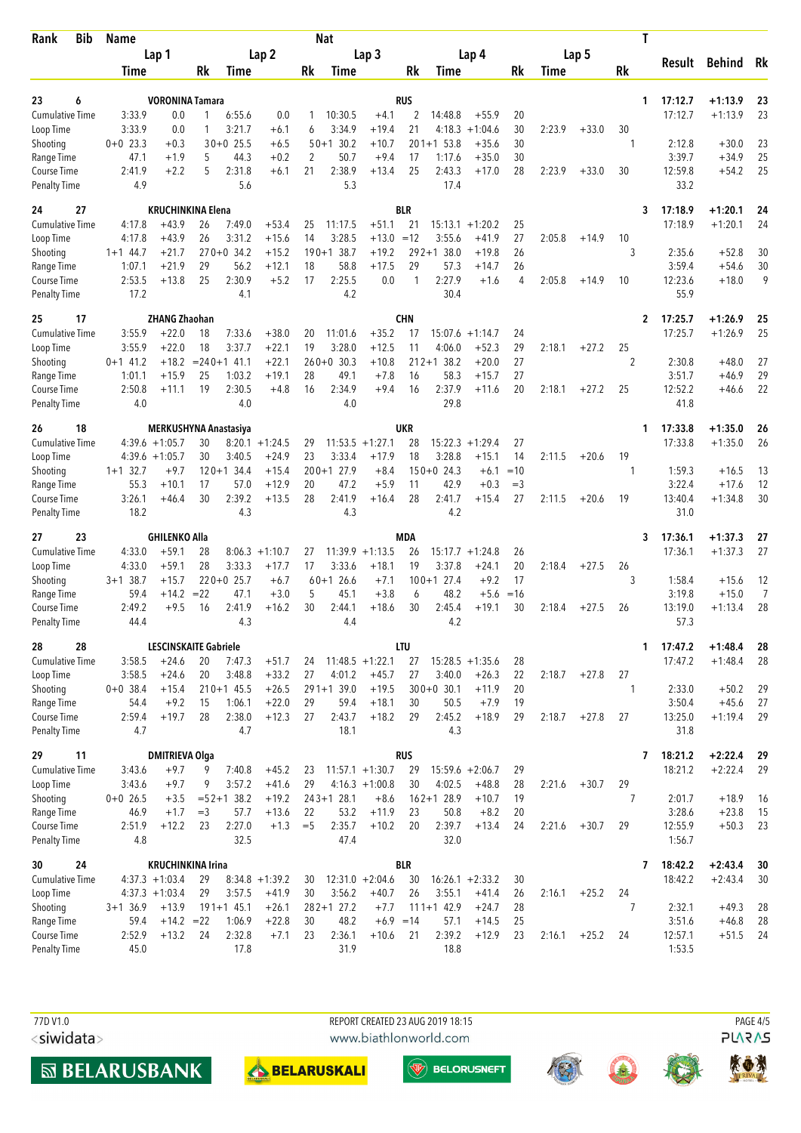| <b>Bib</b><br>Rank                 | Name<br>Lap 1      |                                         |                  |                      |                    |             | <b>Nat</b>           |                        |                  | Τ                    |                    |                |        |         |                |                         |                        |                |
|------------------------------------|--------------------|-----------------------------------------|------------------|----------------------|--------------------|-------------|----------------------|------------------------|------------------|----------------------|--------------------|----------------|--------|---------|----------------|-------------------------|------------------------|----------------|
|                                    |                    |                                         | Lap <sub>2</sub> |                      |                    |             | Lap <sub>3</sub>     |                        | Lap 4            |                      |                    | Lap 5          |        |         | Result         | <b>Behind</b>           | Rk                     |                |
|                                    | Time               |                                         | Rk               | Time                 |                    | Rk          | Time                 |                        | Rk               | Time                 |                    | Rk             | Time   |         | Rk             |                         |                        |                |
| 23                                 |                    | <b>VORONINA Tamara</b>                  |                  |                      |                    |             |                      |                        | <b>RUS</b>       |                      |                    |                |        |         | 1              | 17:12.7                 | $+1:13.9$              |                |
| 6<br><b>Cumulative Time</b>        | 3:33.9             | 0.0                                     | 1                | 6:55.6               | 0.0                | 1           | 10:30.5              | $+4.1$                 | 2                | 14:48.8              | $+55.9$            | 20             |        |         |                | 17:12.7                 | $+1:13.9$              | 23<br>23       |
| Loop Time                          | 3:33.9             | 0.0                                     | 1                | 3:21.7               | $+6.1$             | 6           | 3:34.9               | $+19.4$                | 21               | 4:18.3               | $+1:04.6$          | 30             | 2:23.9 | $+33.0$ | 30             |                         |                        |                |
| Shooting                           | $0+0$ 23.3         | $+0.3$                                  |                  | $30+0$ 25.5          | $+6.5$             |             | $50+1$ 30.2          | $+10.7$                |                  | $201+1$ 53.8         | $+35.6$            | 30             |        |         | 1              | 2:12.8                  | $+30.0$                | 23             |
| Range Time                         | 47.1               | $+1.9$                                  | 5                | 44.3                 | $+0.2$             | 2           | 50.7                 | $+9.4$                 | 17               | 1:17.6               | $+35.0$            | 30             |        |         |                | 3:39.7                  | $+34.9$                | 25             |
| Course Time                        | 2:41.9             | $+2.2$                                  | 5                | 2:31.8               | $+6.1$             | 21          | 2:38.9               | $+13.4$                | 25               | 2:43.3               | $+17.0$            | 28             | 2:23.9 | $+33.0$ | 30             | 12:59.8                 | $+54.2$                | 25             |
| <b>Penalty Time</b>                | 4.9                |                                         |                  | 5.6                  |                    |             | 5.3                  |                        |                  | 17.4                 |                    |                |        |         |                | 33.2                    |                        |                |
| 24<br>27                           |                    | <b>KRUCHINKINA Elena</b>                |                  |                      |                    |             |                      |                        | <b>BLR</b>       |                      |                    |                |        |         | 3              | 17:18.9                 | $+1:20.1$              | 24             |
| Cumulative Time                    | 4:17.8             | $+43.9$                                 | 26               | 7:49.0               | $+53.4$            | 25          | 11:17.5              | $+51.1$                | 21               | $15:13.1 + 1:20.2$   |                    | 25             |        |         |                | 17:18.9                 | $+1:20.1$              | 24             |
| Loop Time                          | 4:17.8             | $+43.9$                                 | 26               | 3:31.2               | $+15.6$            | 14          | 3:28.5               | $+13.0$                | $=12$            | 3:55.6               | $+41.9$            | 27             | 2:05.8 | $+14.9$ | 10             |                         |                        |                |
| Shooting                           | $1+1$ 44.7         | $+21.7$                                 |                  | $270+0$ 34.2         | $+15.2$            |             | $190 + 138.7$        | $+19.2$                |                  | $292+138.0$          | $+19.8$            | 26             |        |         | 3              | 2:35.6                  | $+52.8$                | 30             |
| Range Time<br>Course Time          | 1:07.1<br>2:53.5   | $+21.9$<br>$+13.8$                      | 29<br>25         | 56.2<br>2:30.9       | $+12.1$<br>$+5.2$  | 18<br>17    | 58.8<br>2:25.5       | $+17.5$<br>0.0         | 29<br>1          | 57.3<br>2:27.9       | $+14.7$<br>$+1.6$  | 26<br>4        | 2:05.8 | $+14.9$ | 10             | 3:59.4<br>12:23.6       | $+54.6$<br>$+18.0$     | 30<br>9        |
| Penalty Time                       | 17.2               |                                         |                  | 4.1                  |                    |             | 4.2                  |                        |                  | 30.4                 |                    |                |        |         |                | 55.9                    |                        |                |
| 17<br>25                           |                    | <b>ZHANG Zhaohan</b>                    |                  |                      |                    |             |                      |                        | <b>CHN</b>       |                      |                    |                |        |         | 2              | 17:25.7                 | $+1:26.9$              | 25             |
| <b>Cumulative Time</b>             | 3:55.9             | $+22.0$                                 | 18               | 7:33.6               | $+38.0$            | 20          | 11:01.6              | $+35.2$                | 17               | 15:07.6              | $+1:14.7$          | 24             |        |         |                | 17:25.7                 | $+1:26.9$              | 25             |
| Loop Time                          | 3:55.9             | $+22.0$                                 | 18               | 3:37.7               | $+22.1$            | 19          | 3:28.0               | $+12.5$                | 11               | 4:06.0               | $+52.3$            | 29             | 2:18.1 | $+27.2$ | 25             |                         |                        |                |
| Shooting                           | $0+1$ 41.2         | $+18.2$                                 |                  | $= 240 + 141.1$      | $+22.1$            |             | $260+0$ 30.3         | $+10.8$                |                  | $212+1$ 38.2         | $+20.0$            | 27             |        |         | 2              | 2:30.8                  | $+48.0$                | 27             |
| Range Time                         | 1:01.1             | $+15.9$                                 | 25               | 1:03.2               | $+19.1$            | 28          | 49.1                 | $+7.8$                 | 16               | 58.3                 | $+15.7$            | 27             |        |         |                | 3:51.7                  | $+46.9$                | 29             |
| Course Time                        | 2:50.8             | $+11.1$                                 | 19               | 2:30.5               | $+4.8$             | 16          | 2:34.9               | $+9.4$                 | 16               | 2:37.9               | $+11.6$            | 20             | 2:18.1 | $+27.2$ | 25             | 12:52.2                 | $+46.6$                | 22             |
| <b>Penalty Time</b>                | 4.0                |                                         |                  | 4.0                  |                    |             | 4.0                  |                        |                  | 29.8                 |                    |                |        |         |                | 41.8                    |                        |                |
| 26<br>18                           |                    | <b>MERKUSHYNA Anastasiya</b>            |                  |                      |                    |             |                      |                        | <b>UKR</b>       |                      |                    |                |        |         | 1              | 17:33.8                 | $+1:35.0$              | 26             |
| <b>Cumulative Time</b>             |                    | $4:39.6 +1:05.7$                        | 30               |                      | $8:20.1 + 1:24.5$  | 29          |                      | $11:53.5 + 1:27.1$     | 28               | 15:22.3              | $+1:29.4$          | 27             |        |         |                | 17:33.8                 | $+1:35.0$              | 26             |
| Loop Time                          |                    | $4:39.6 +1:05.7$                        | 30               | 3:40.5               | $+24.9$            | 23          | 3:33.4               | $+17.9$                | 18               | 3:28.8               | $+15.1$            | 14             | 2:11.5 | $+20.6$ | 19<br>1        |                         |                        |                |
| Shooting<br>Range Time             | $1+1$ 32.7<br>55.3 | $+9.7$<br>$+10.1$                       | 17               | $120+1$ 34.4<br>57.0 | $+15.4$<br>$+12.9$ | 20          | $200+1$ 27.9<br>47.2 | $+8.4$<br>$+5.9$       | 11               | $150+0$ 24.3<br>42.9 | $+6.1$<br>$+0.3$   | $=10$<br>$=$ 3 |        |         |                | 1:59.3<br>3:22.4        | $+16.5$<br>$+17.6$     | 13<br>12       |
| Course Time                        | 3:26.1             | $+46.4$                                 | 30               | 2:39.2               | $+13.5$            | 28          | 2:41.9               | $+16.4$                | 28               | 2:41.7               | $+15.4$            | 27             | 2:11.5 | $+20.6$ | 19             | 13:40.4                 | $+1:34.8$              | 30             |
| <b>Penalty Time</b>                | 18.2               |                                         |                  | 4.3                  |                    |             | 4.3                  |                        |                  | 4.2                  |                    |                |        |         |                | 31.0                    |                        |                |
| 23<br>27                           |                    | <b>GHILENKO Alla</b>                    |                  |                      |                    |             |                      |                        | <b>MDA</b>       |                      |                    |                |        |         | 3              | 17:36.1                 | $+1:37.3$              | 27             |
| <b>Cumulative Time</b>             | 4:33.0             | $+59.1$                                 | 28               |                      | $8:06.3 +1:10.7$   | 27          |                      | $11:39.9 + 1:13.5$     | 26               | 15:17.7              | $+1:24.8$          | 26             |        |         |                | 17:36.1                 | $+1:37.3$              | 27             |
| Loop Time                          | 4:33.0             | $+59.1$                                 | 28               | 3:33.3               | $+17.7$            | 17          | 3:33.6               | $+18.1$                | 19               | 3:37.8               | $+24.1$            | 20             | 2:18.4 | $+27.5$ | 26             |                         |                        |                |
| Shooting                           | $3+1$ 38.7         | $+15.7$                                 |                  | $220+0$ 25.7         | $+6.7$             |             | $60+1$ 26.6          | $+7.1$                 |                  | $100+1$ 27.4         | $+9.2$             | 17             |        |         | 3              | 1:58.4                  | $+15.6$                | 12             |
| Range Time                         | 59.4               | $+14.2$                                 | $= 22$           | 47.1                 | $+3.0$             | 5           | 45.1                 | $+3.8$                 | 6                | 48.2                 | $+5.6$             | $=16$          |        |         |                | 3:19.8                  | $+15.0$                | $\overline{7}$ |
| Course Time<br><b>Penalty Time</b> | 2:49.2<br>44.4     | $+9.5$                                  | 16               | 2:41.9<br>4.3        | $+16.2$            | 30          | 2:44.1<br>4.4        | $+18.6$                | 30               | 2:45.4<br>4.2        | $+19.1$            | 30             | 2:18.4 | $+27.5$ | 26             | 13:19.0<br>57.3         | $+1:13.4$              | 28             |
|                                    |                    |                                         |                  |                      |                    |             |                      |                        |                  |                      |                    |                |        |         |                |                         |                        |                |
| 28<br>28<br><b>Cumulative Time</b> | 3:58.5             | <b>LESCINSKAITE Gabriele</b><br>$+24.6$ | 20               | 7:47.3               | $+51.7$            | 24          |                      | $11:48.5 + 1:22.1$     | <b>LTU</b><br>27 | $15:28.5 +1:35.6$    |                    | 28             |        |         |                | 17:47.2<br>1<br>17:47.2 | $+1:48.4$<br>$+1:48.4$ | 28<br>28       |
| Loop Time                          | 3:58.5             | $+24.6$                                 | 20               | 3:48.8               | $+33.2$            | 27          | 4:01.2               | $+45.7$                | 27               | 3:40.0               | $+26.3$            | 22             | 2:18.7 | $+27.8$ | 27             |                         |                        |                |
| Shooting                           | $0+0$ 38.4         | $+15.4$                                 |                  | $210+1$ 45.5         | $+26.5$            |             | $291+1$ 39.0         | $+19.5$                |                  | $300+0$ 30.1         | $+11.9$            | 20             |        |         | 1              | 2:33.0                  | $+50.2$                | 29             |
| Range Time                         | 54.4               | $+9.2$                                  | 15               | 1:06.1               | $+22.0$            | 29          | 59.4                 | $+18.1$                | 30               | 50.5                 | $+7.9$             | 19             |        |         |                | 3:50.4                  | $+45.6$                | 27             |
| Course Time                        | 2:59.4             | $+19.7$                                 | 28               | 2:38.0               | $+12.3$            | 27          | 2:43.7               | $+18.2$                | 29               | 2:45.2               | $+18.9$            | 29             | 2:18.7 | $+27.8$ | 27             | 13:25.0                 | $+1:19.4$              | 29             |
| <b>Penalty Time</b>                | 4.7                |                                         |                  | 4.7                  |                    |             | 18.1                 |                        |                  | 4.3                  |                    |                |        |         |                | 31.8                    |                        |                |
| 11<br>29                           |                    | <b>DMITRIEVA Olga</b>                   |                  |                      |                    |             |                      |                        | <b>RUS</b>       |                      |                    |                |        |         | 7              | 18:21.2                 | $+2:22.4$              | 29             |
| <b>Cumulative Time</b>             | 3:43.6             | $+9.7$                                  | 9                | 7:40.8               | $+45.2$            | 23          |                      | $11:57.1 + 1:30.7$     | 29               | $15:59.6 + 2:06.7$   |                    | 29             |        |         |                | 18:21.2                 | $+2:22.4$              | 29             |
| Loop Time                          | 3:43.6             | $+9.7$                                  | 9                | 3:57.2               | $+41.6$            | 29          |                      | $4:16.3 +1:00.8$       | 30               | 4:02.5               | $+48.8$            | 28             | 2:21.6 | $+30.7$ | 29             |                         |                        |                |
| Shooting                           | $0+0$ 26.5         | $+3.5$                                  |                  | $=52+138.2$          | $+19.2$            |             | $243 + 128.1$        | $+8.6$                 |                  | $162+128.9$          | $+10.7$            | 19             |        |         | $\overline{7}$ | 2:01.7                  | $+18.9$                | -16            |
| Range Time<br>Course Time          | 46.9<br>2:51.9     | $+1.7$<br>$+12.2$                       | $=$ 3<br>23      | 57.7<br>2:27.0       | $+13.6$<br>$+1.3$  | 22<br>$=$ 5 | 53.2<br>2:35.7       | $+11.9$<br>$+10.2$     | 23<br>20         | 50.8<br>2:39.7       | $+8.2$<br>$+13.4$  | 20<br>24       | 2:21.6 | $+30.7$ | 29             | 3:28.6<br>12:55.9       | $+23.8$<br>$+50.3$     | 15<br>23       |
| <b>Penalty Time</b>                | 4.8                |                                         |                  | 32.5                 |                    |             | 47.4                 |                        |                  | 32.0                 |                    |                |        |         |                | 1:56.7                  |                        |                |
| 24<br>30                           |                    | <b>KRUCHINKINA Irina</b>                |                  |                      |                    |             |                      |                        | <b>BLR</b>       |                      |                    |                |        |         |                | 7<br>18:42.2            | $+2:43.4$              | 30             |
| <b>Cumulative Time</b>             |                    | $4:37.3 +1:03.4$                        | 29               |                      | $8:34.8 +1:39.2$   | 30          |                      | $12:31.0 + 2:04.6$     | 30               | $16:26.1 + 2:33.2$   |                    | 30             |        |         |                | 18:42.2                 | $+2:43.4$              | 30             |
| Loop Time                          |                    | $4:37.3 +1:03.4$                        | 29               | 3:57.5               | $+41.9$            | 30          | 3:56.2               | $+40.7$                | 26               | 3:55.1               | $+41.4$            | 26             | 2:16.1 | $+25.2$ | 24             |                         |                        |                |
| Shooting                           | $3+1$ 36.9         | $+13.9$                                 |                  | $191+1$ 45.1         | $+26.1$            |             | $282+1$ 27.2         | $+7.7$                 |                  | $111+142.9$          | $+24.7$            | 28             |        |         | 7              | 2:32.1                  | $+49.3$                | 28             |
| Range Time<br>Course Time          | 59.4<br>2:52.9     | $+14.2 = 22$<br>$+13.2$                 | 24               | 1:06.9<br>2:32.8     | $+22.8$<br>$+7.1$  | 30<br>23    | 48.2<br>2:36.1       | $+6.9 = 14$<br>$+10.6$ | 21               | 57.1<br>2:39.2       | $+14.5$<br>$+12.9$ | 25<br>23       | 2:16.1 | $+25.2$ | 24             | 3:51.6<br>12:57.1       | $+46.8$<br>$+51.5$     | 28<br>24       |
| Penalty Time                       | 45.0               |                                         |                  | 17.8                 |                    |             | 31.9                 |                        |                  | 18.8                 |                    |                |        |         |                | 1:53.5                  |                        |                |
|                                    |                    |                                         |                  |                      |                    |             |                      |                        |                  |                      |                    |                |        |         |                |                         |                        |                |

<siwidata>





**MBELARUSBANK** 



**W** BELORUSNEFT